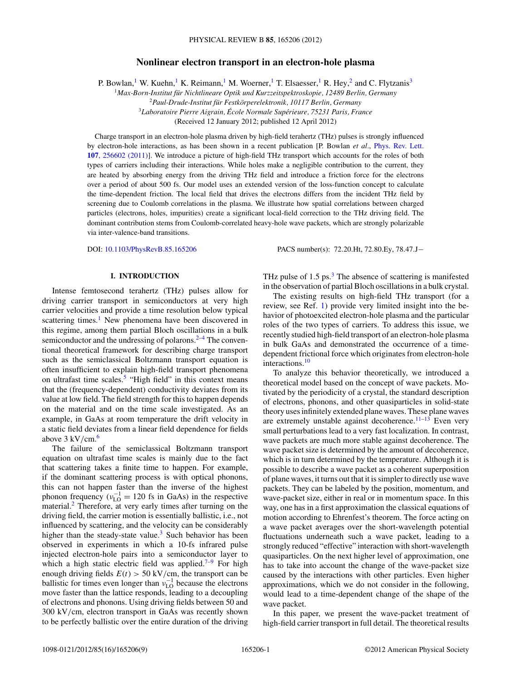# **Nonlinear electron transport in an electron-hole plasma**

P. Bowlan,<sup>1</sup> W. Kuehn,<sup>1</sup> K. Reimann,<sup>1</sup> M. Woerner,<sup>1</sup> T. Elsaesser,<sup>1</sup> R. Hey,<sup>2</sup> and C. Flytzanis<sup>3</sup>

<sup>1</sup>*Max-Born-Institut fur Nichtlineare Optik und Kurzzeitspektroskopie, 12489 Berlin, Germany ¨*

<sup>2</sup>*Paul-Drude-Institut fur Festk ¨ orperelektronik, 10117 Berlin, Germany ¨*

<sup>3</sup>Laboratoire Pierre Aigrain, École Normale Supérieure, 75231 Paris, France

(Received 12 January 2012; published 12 April 2012)

Charge transport in an electron-hole plasma driven by high-field terahertz (THz) pulses is strongly influenced by electron-hole interactions, as has been shown in a recent publication [P. Bowlan *et al.*, [Phys. Rev. Lett.](http://dx.doi.org/10.1103/PhysRevLett.107.256602) **107**[, 256602 \(2011\)\]](http://dx.doi.org/10.1103/PhysRevLett.107.256602). We introduce a picture of high-field THz transport which accounts for the roles of both types of carriers including their interactions. While holes make a negligible contribution to the current, they are heated by absorbing energy from the driving THz field and introduce a friction force for the electrons over a period of about 500 fs. Our model uses an extended version of the loss-function concept to calculate the time-dependent friction. The local field that drives the electrons differs from the incident THz field by screening due to Coulomb correlations in the plasma. We illustrate how spatial correlations between charged particles (electrons, holes, impurities) create a significant local-field correction to the THz driving field. The dominant contribution stems from Coulomb-correlated heavy-hole wave packets, which are strongly polarizable via inter-valence-band transitions.

DOI: [10.1103/PhysRevB.85.165206](http://dx.doi.org/10.1103/PhysRevB.85.165206) PACS number(s): 72*.*20*.*Ht, 72*.*80*.*Ey, 78*.*47*.*J−

#### **I. INTRODUCTION**

Intense femtosecond terahertz (THz) pulses allow for driving carrier transport in semiconductors at very high carrier velocities and provide a time resolution below typical scattering times.<sup>[1](#page-8-0)</sup> New phenomena have been discovered in this regime, among them partial Bloch oscillations in a bulk semiconductor and the undressing of polarons. $2-4$  The conventional theoretical framework for describing charge transport such as the semiclassical Boltzmann transport equation is often insufficient to explain high-field transport phenomena on ultrafast time scales.<sup>[5](#page-8-0)</sup> "High field" in this context means that the (frequency-dependent) conductivity deviates from its value at low field. The field strength for this to happen depends on the material and on the time scale investigated. As an example, in GaAs at room temperature the drift velocity in a static field deviates from a linear field dependence for fields above 3 kV*/*cm.[6](#page-8-0)

The failure of the semiclassical Boltzmann transport equation on ultrafast time scales is mainly due to the fact that scattering takes a finite time to happen. For example, if the dominant scattering process is with optical phonons, this can not happen faster than the inverse of the highest phonon frequency ( $v_{\text{LO}}^{-1} = 120$  fs in GaAs) in the respective material.<sup>[2](#page-8-0)</sup> Therefore, at very early times after turning on the driving field, the carrier motion is essentially ballistic, i.e., not influenced by scattering, and the velocity can be considerably higher than the steady-state value.<sup>[3](#page-8-0)</sup> Such behavior has been observed in experiments in which a 10-fs infrared pulse injected electron-hole pairs into a semiconductor layer to which a high static electric field was applied.<sup> $7-9$ </sup> For high enough driving fields  $E(t) > 50 \text{ kV/cm}$ , the transport can be ballistic for times even longer than  $v_{\text{LO}}^{-1}$  because the electrons move faster than the lattice responds, leading to a decoupling of electrons and phonons. Using driving fields between 50 and 300 kV*/*cm, electron transport in GaAs was recently shown to be perfectly ballistic over the entire duration of the driving THz pulse of  $1.5 \text{ ps.}^3$ . The absence of scattering is manifested in the observation of partial Bloch oscillations in a bulk crystal.

The existing results on high-field THz transport (for a review, see Ref. [1\)](#page-8-0) provide very limited insight into the behavior of photoexcited electron-hole plasma and the particular roles of the two types of carriers. To address this issue, we recently studied high-field transport of an electron-hole plasma in bulk GaAs and demonstrated the occurrence of a timedependent frictional force which originates from electron-hole interactions.[10](#page-8-0)

To analyze this behavior theoretically, we introduced a theoretical model based on the concept of wave packets. Motivated by the periodicity of a crystal, the standard description of electrons, phonons, and other quasiparticles in solid-state theory uses infinitely extended plane waves. These plane waves are extremely unstable against decoherence.<sup>11–13</sup> Even very small perturbations lead to a very fast localization. In contrast, wave packets are much more stable against decoherence. The wave packet size is determined by the amount of decoherence, which is in turn determined by the temperature. Although it is possible to describe a wave packet as a coherent superposition of plane waves, it turns out that it is simpler to directly use wave packets. They can be labeled by the position, momentum, and wave-packet size, either in real or in momentum space. In this way, one has in a first approximation the classical equations of motion according to Ehrenfest's theorem. The force acting on a wave packet averages over the short-wavelength potential fluctuations underneath such a wave packet, leading to a strongly reduced "effective" interaction with short-wavelength quasiparticles. On the next higher level of approximation, one has to take into account the change of the wave-packet size caused by the interactions with other particles. Even higher approximations, which we do not consider in the following, would lead to a time-dependent change of the shape of the wave packet.

In this paper, we present the wave-packet treatment of high-field carrier transport in full detail. The theoretical results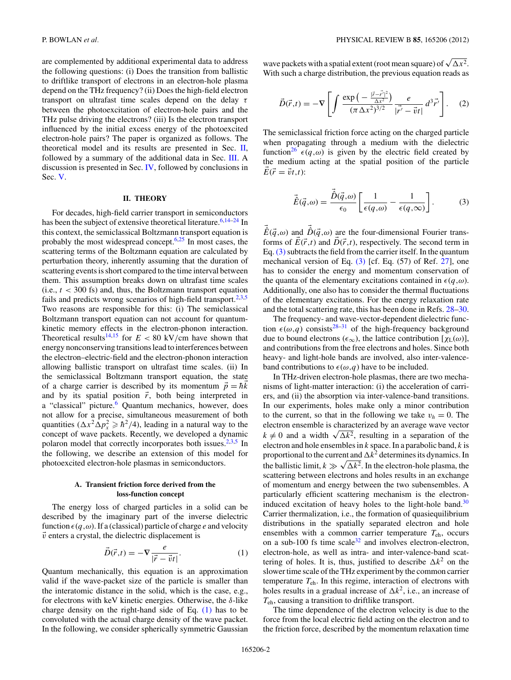<span id="page-1-0"></span>are complemented by additional experimental data to address the following questions: (i) Does the transition from ballistic to driftlike transport of electrons in an electron-hole plasma depend on the THz frequency? (ii) Does the high-field electron transport on ultrafast time scales depend on the delay *τ* between the photoexcitation of electron-hole pairs and the THz pulse driving the electrons? (iii) Is the electron transport influenced by the initial excess energy of the photoexcited electron-hole pairs? The paper is organized as follows. The theoretical model and its results are presented in Sec. II, followed by a summary of the additional data in Sec. [III.](#page-4-0) A discussion is presented in Sec. [IV,](#page-6-0) followed by conclusions in Sec. [V.](#page-7-0)

## **II. THEORY**

For decades, high-field carrier transport in semiconductors has been the subject of extensive theoretical literature.<sup>[6,14–24](#page-8-0)</sup> In this context, the semiclassical Boltzmann transport equation is probably the most widespread concept. $6,25$  In most cases, the scattering terms of the Boltzmann equation are calculated by perturbation theory, inherently assuming that the duration of scattering events is short compared to the time interval between them. This assumption breaks down on ultrafast time scales  $(i.e.,  $t < 300 \text{ fs}$ ) and, thus, the Boltzmann transport equation$ fails and predicts wrong scenarios of high-field transport.<sup>2,3,5</sup> Two reasons are responsible for this: (i) The semiclassical Boltzmann transport equation can not account for quantumkinetic memory effects in the electron-phonon interaction. Theoretical results<sup>[14,15](#page-8-0)</sup> for  $E < 80$  kV/cm have shown that energy nonconserving transitions lead to interferences between the electron–electric-field and the electron-phonon interaction allowing ballistic transport on ultrafast time scales. (ii) In the semiclassical Boltzmann transport equation, the state of a charge carrier is described by its momentum  $\vec{p} = \hbar k$ and by its spatial position  $\vec{r}$ , both being interpreted in a "classical" picture.<sup>[6](#page-8-0)</sup> Quantum mechanics, however, does not allow for a precise, simultaneous measurement of both quantities  $(\Delta x^2 \overline{\Delta p_x^2} \geq \hbar^2/4)$ , leading in a natural way to the concept of wave packets. Recently, we developed a dynamic polaron model that correctly incorporates both issues. $2,3,5$  In the following, we describe an extension of this model for photoexcited electron-hole plasmas in semiconductors.

### **A. Transient friction force derived from the loss-function concept**

The energy loss of charged particles in a solid can be described by the imaginary part of the inverse dielectric function  $\epsilon(q,\omega)$ . If a (classical) particle of charge *e* and velocity  $\vec{v}$  enters a crystal, the dielectric displacement is

$$
\vec{D}(\vec{r},t) = -\nabla \frac{e}{|\vec{r} - \vec{v}t|}.
$$
 (1)

Quantum mechanically, this equation is an approximation valid if the wave-packet size of the particle is smaller than the interatomic distance in the solid, which is the case, e.g., for electrons with keV kinetic energies. Otherwise, the *δ*-like charge density on the right-hand side of Eq. (1) has to be convoluted with the actual charge density of the wave packet. In the following, we consider spherically symmetric Gaussian

wave packets with a spatial extent (root mean square) of  $\sqrt{\Delta x^2}$ . With such a charge distribution, the previous equation reads as

$$
\vec{D}(\vec{r},t) = -\nabla \left[ \int \frac{\exp\left(-\frac{|\vec{r}-\vec{r}'|^2}{\Delta x^2}\right)}{(\pi \Delta x^2)^{3/2}} \frac{e}{|\vec{r}'-\vec{v}t|} d^3 \vec{r}' \right].
$$
 (2)

The semiclassical friction force acting on the charged particle when propagating through a medium with the dielectric function<sup>26</sup>  $\epsilon(q,\omega)$  is given by the electric field created by the medium acting at the spatial position of the particle  $E(\vec{r} = \vec{v}t,t)$ :

$$
\vec{\hat{E}}(\vec{q},\omega) = \frac{\vec{D}(\vec{q},\omega)}{\epsilon_0} \left[ \frac{1}{\epsilon(q,\omega)} - \frac{1}{\epsilon(q,\infty)} \right].
$$
 (3)

 $\hat{E}(\vec{q},\omega)$  and  $\hat{D}(\vec{q},\omega)$  are the four-dimensional Fourier transforms of  $E(\vec{r},t)$  and  $D(\vec{r},t)$ , respectively. The second term in Eq.  $(3)$  subtracts the field from the carrier itself. In the quantum mechanical version of Eq. (3) [cf. Eq. (57) of Ref. [27\]](#page-8-0), one has to consider the energy and momentum conservation of the quanta of the elementary excitations contained in  $\epsilon(q,\omega)$ . Additionally, one also has to consider the thermal fluctuations of the elementary excitations. For the energy relaxation rate and the total scattering rate, this has been done in Refs. [28–30.](#page-8-0)

The frequency- and wave-vector-dependent dielectric function  $\epsilon(\omega, q)$  consists<sup>[28–31](#page-8-0)</sup> of the high-frequency background due to bound electrons ( $\epsilon_{\infty}$ ), the lattice contribution [ $\chi$ <sub>L</sub>( $\omega$ )], and contributions from the free electrons and holes. Since both heavy- and light-hole bands are involved, also inter-valenceband contributions to  $\epsilon(\omega, q)$  have to be included.

In THz-driven electron-hole plasmas, there are two mechanisms of light-matter interaction: (i) the acceleration of carriers, and (ii) the absorption via inter-valence-band transitions. In our experiments, holes make only a minor contribution to the current, so that in the following we take  $v_h = 0$ . The electron ensemble is characterized by an average wave vector  $k \neq 0$  and a width  $\sqrt{\Delta k^2}$ , resulting in a separation of the electron and hole ensembles in *k* space. In a parabolic band, *k* is proportional to the current and  $\Delta k^2$  determines its dynamics. In the ballistic limit,  $k \gg \sqrt{\Delta k^2}$ . In the electron-hole plasma, the scattering between electrons and holes results in an exchange of momentum and energy between the two subensembles. A particularly efficient scattering mechanism is the electroninduced excitation of heavy holes to the light-hole band. $30$ Carrier thermalization, i.e., the formation of quasiequilibrium distributions in the spatially separated electron and hole ensembles with a common carrier temperature *T*eh, occurs on a sub-100 fs time scale $32$  and involves electron-electron, electron-hole, as well as intra- and inter-valence-band scattering of holes. It is, thus, justified to describe  $\Delta k^2$  on the slower time scale of the THz experiment by the common carrier temperature *T*eh. In this regime, interaction of electrons with holes results in a gradual increase of  $\Delta k^2$ , i.e., an increase of *T*eh, causing a transition to driftlike transport.

The time dependence of the electron velocity is due to the force from the local electric field acting on the electron and to the friction force, described by the momentum relaxation time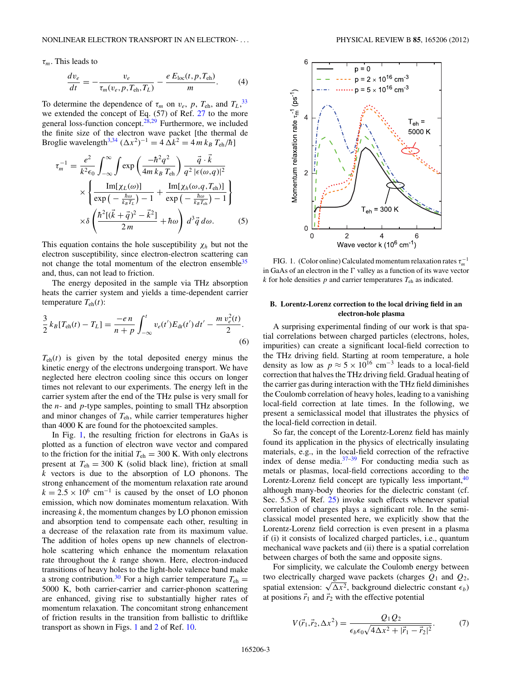<span id="page-2-0"></span>*τm*. This leads to

$$
\frac{dv_e}{dt} = -\frac{v_e}{\tau_m(v_e, p, T_{\text{ch}}, T_L)} - \frac{e E_{\text{loc}}(t, p, T_{\text{eh}})}{m}.
$$
 (4)

To determine the dependence of  $\tau_m$  on  $v_e$ ,  $p$ ,  $T_{eh}$ , and  $T_L$ ,<sup>[33](#page-8-0)</sup> we extended the concept of Eq. (57) of Ref. [27](#page-8-0) to the more general loss-function concept.<sup>[28,29](#page-8-0)</sup> Furthermore, we included the finite size of the electron wave packet [the thermal de Broglie wavelength<sup>3,34</sup> ( $\Delta x^2$ )<sup>-1</sup> = 4  $\Delta k^2$  = 4 *m*  $k_B T_{eh}/\hbar$ ]

$$
\tau_m^{-1} = \frac{e^2}{k^2 \epsilon_0} \int_{-\infty}^{\infty} \int \exp\left(\frac{-\hbar^2 q^2}{4m k_B T_{\text{eh}}}\right) \frac{\vec{q} \cdot \vec{k}}{q^2 |\epsilon(\omega, q)|^2} \times \left\{ \frac{\text{Im}[\chi_L(\omega)]}{\exp\left(-\frac{\hbar \omega}{k_B T_L}\right) - 1} + \frac{\text{Im}[\chi_h(\omega, q, T_{\text{eh}})]}{\exp\left(-\frac{\hbar \omega}{k_B T_{\text{eh}}}\right) - 1} \right\} \times \delta \left( \frac{\hbar^2 [(\vec{k} + \vec{q})^2 - \vec{k}^2]}{2m} + \hbar \omega \right) d^3 \vec{q} d\omega. \tag{5}
$$

This equation contains the hole susceptibility  $\chi_h$  but not the electron susceptibility, since electron-electron scattering can not change the total momentum of the electron ensemble<sup>35</sup> and, thus, can not lead to friction.

The energy deposited in the sample via THz absorption heats the carrier system and yields a time-dependent carrier temperature  $T_{\text{eh}}(t)$ :

$$
\frac{3}{2}k_B[T_{eh}(t) - T_L] = \frac{-e n}{n+p} \int_{-\infty}^t v_e(t') E_{\rm dr}(t') dt' - \frac{m v_e^2(t)}{2}.
$$
\n(6)

 $T_{\text{eh}}(t)$  is given by the total deposited energy minus the kinetic energy of the electrons undergoing transport. We have neglected here electron cooling since this occurs on longer times not relevant to our experiments. The energy left in the carrier system after the end of the THz pulse is very small for the *n*- and *p*-type samples, pointing to small THz absorption and minor changes of *T*eh, while carrier temperatures higher than 4000 K are found for the photoexcited samples.

In Fig. 1, the resulting friction for electrons in GaAs is plotted as a function of electron wave vector and compared to the friction for the initial  $T_{eh} = 300$  K. With only electrons present at  $T_{eh} = 300$  K (solid black line), friction at small *k* vectors is due to the absorption of LO phonons. The strong enhancement of the momentum relaxation rate around  $k = 2.5 \times 10^6$  cm<sup>-1</sup> is caused by the onset of LO phonon emission, which now dominates momentum relaxation. With increasing *k*, the momentum changes by LO phonon emission and absorption tend to compensate each other, resulting in a decrease of the relaxation rate from its maximum value. The addition of holes opens up new channels of electronhole scattering which enhance the momentum relaxation rate throughout the *k* range shown. Here, electron-induced transitions of heavy holes to the light-hole valence band make a strong contribution.<sup>[30](#page-8-0)</sup> For a high carrier temperature  $T_{eh}$  = 5000 K, both carrier-carrier and carrier-phonon scattering are enhanced, giving rise to substantially higher rates of momentum relaxation. The concomitant strong enhancement of friction results in the transition from ballistic to driftlike transport as shown in Figs. 1 and [2](#page-3-0) of Ref. [10.](#page-8-0)



FIG. 1. (Color online) Calculated momentum relaxation rates  $\tau_m^{-1}$ in GaAs of an electron in the  $\Gamma$  valley as a function of its wave vector *k* for hole densities *p* and carrier temperatures *T*eh as indicated.

# **B. Lorentz-Lorenz correction to the local driving field in an electron-hole plasma**

A surprising experimental finding of our work is that spatial correlations between charged particles (electrons, holes, impurities) can create a significant local-field correction to the THz driving field. Starting at room temperature, a hole density as low as  $p \approx 5 \times 10^{16}$  cm<sup>-3</sup> leads to a local-field correction that halves the THz driving field. Gradual heating of the carrier gas during interaction with the THz field diminishes the Coulomb correlation of heavy holes, leading to a vanishing local-field correction at late times. In the following, we present a semiclassical model that illustrates the physics of the local-field correction in detail.

So far, the concept of the Lorentz-Lorenz field has mainly found its application in the physics of electrically insulating materials, e.g., in the local-field correction of the refractive index of dense media. $37-39$  For conducting media such as metals or plasmas, local-field corrections according to the Lorentz-Lorenz field concept are typically less important, $40$ although many-body theories for the dielectric constant (cf. Sec. 5.5.3 of Ref. [25\)](#page-8-0) invoke such effects whenever spatial correlation of charges plays a significant role. In the semiclassical model presented here, we explicitly show that the Lorentz-Lorenz field correction is even present in a plasma if (i) it consists of localized charged particles, i.e., quantum mechanical wave packets and (ii) there is a spatial correlation between charges of both the same and opposite signs.

For simplicity, we calculate the Coulomb energy between two electrically charged wave packets (charges *Q*<sup>1</sup> and *Q*2, spatial extension:  $\sqrt{\Delta x^2}$ , background dielectric constant  $\epsilon_b$ ) at positions  $\vec{r}_1$  and  $\vec{r}_2$  with the effective potential

$$
V(\vec{r}_1, \vec{r}_2, \Delta x^2) = \frac{Q_1 Q_2}{\epsilon_b \epsilon_0 \sqrt{4\Delta x^2 + |\vec{r}_1 - \vec{r}_2|^2}}.
$$
 (7)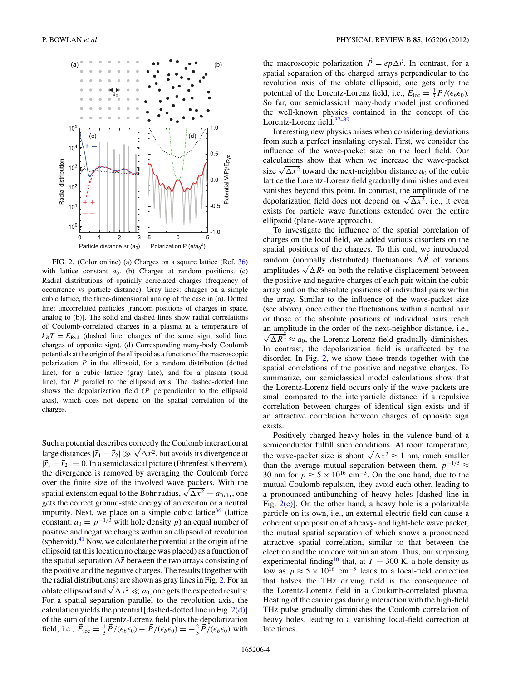<span id="page-3-0"></span>

FIG. 2. (Color online) (a) Charges on a square lattice (Ref. [36\)](#page-8-0) with lattice constant  $a_0$ . (b) Charges at random positions. (c) Radial distributions of spatially correlated charges (frequency of occurrence vs particle distance). Gray lines: charges on a simple cubic lattice, the three-dimensional analog of the case in (a). Dotted line: uncorrelated particles [random positions of charges in space, analog to (b)]. The solid and dashed lines show radial correlations of Coulomb-correlated charges in a plasma at a temperature of  $k_B T = E_{\text{Ryd}}$  (dashed line: charges of the same sign; solid line: charges of opposite sign). (d) Corresponding many-body Coulomb potentials at the origin of the ellipsoid as a function of the macroscopic polarization *P* in the ellipsoid, for a random distribution (dotted line), for a cubic lattice (gray line), and for a plasma (solid line), for *P* parallel to the ellipsoid axis. The dashed-dotted line shows the depolarization field (*P* perpendicular to the ellipsoid axis), which does not depend on the spatial correlation of the charges.

Such a potential describes correctly the Coulomb interaction at large distances  $|\vec{r}_1 - \vec{r}_2| \gg \sqrt{\Delta x^2}$ , but avoids its divergence at  $|\vec{r}_1 - \vec{r}_2| = 0$ . In a semiclassical picture (Ehrenfest's theorem), the divergence is removed by averaging the Coulomb force over the finite size of the involved wave packets. With the spatial extension equal to the Bohr radius,  $\sqrt{\Delta x^2} = a_{\text{Bohr}}$ , one gets the correct ground-state energy of an exciton or a neutral impurity. Next, we place on a simple cubic lattice<sup>36</sup> (lattice) constant:  $a_0 = p^{-1/3}$  with hole density *p*) an equal number of positive and negative charges within an ellipsoid of revolution (spheroid).<sup>[41](#page-8-0)</sup> Now, we calculate the potential at the origin of the ellipsoid (at this location no charge was placed) as a function of the spatial separation  $\Delta \vec{r}$  between the two arrays consisting of the positive and the negative charges. The results (together with the radial distributions) are shown as gray lines in Fig. 2. For an oblate ellipsoid and  $\sqrt{\Delta x^2} \ll a_0$ , one gets the expected results: For a spatial separation parallel to the revolution axis, the calculation yields the potential [dashed-dotted line in Fig.  $2(d)$ ] of the sum of the Lorentz-Lorenz field plus the depolarization field, i.e.,  $\vec{E}_{\text{loc}} = \frac{1}{3}\vec{P}/(\epsilon_b \epsilon_0) - \vec{P}/(\epsilon_b \epsilon_0) = -\frac{2}{3}\vec{P}/(\epsilon_b \epsilon_0)$  with

the macroscopic polarization  $P = ep \Delta \vec{r}$ . In contrast, for a spatial separation of the charged arrays perpendicular to the revolution axis of the oblate ellipsoid, one gets only the potential of the Lorentz-Lorenz field, i.e.,  $\vec{E}_{\text{loc}} = \frac{1}{3}\vec{P}/(\epsilon_b \epsilon_0)$ . So far, our semiclassical many-body model just confirmed the well-known physics contained in the concept of the Lorenz field.<sup>37-39</sup>

Interesting new physics arises when considering deviations from such a perfect insulating crystal. First, we consider the influence of the wave-packet size on the local field. Our calculations show that when we increase the wave-packet size  $\sqrt{\Delta x^2}$  toward the next-neighbor distance  $a_0$  of the cubic lattice the Lorentz-Lorenz field gradually diminishes and even vanishes beyond this point. In contrast, the amplitude of the depolarization field does not depend on  $\sqrt{\Delta x^2}$ , i.e., it even exists for particle wave functions extended over the entire ellipsoid (plane-wave approach).

To investigate the influence of the spatial correlation of charges on the local field, we added various disorders on the spatial positions of the charges. To this end, we introduced random (normally distributed) fluctuations  $\Delta R$  of various amplitudes  $\sqrt{\Delta R^2}$  on both the relative displacement between the positive and negative charges of each pair within the cubic array and on the absolute positions of individual pairs within the array. Similar to the influence of the wave-packet size (see above), once either the fluctuations within a neutral pair or those of the absolute positions of individual pairs reach an amplitude in the order of the next-neighbor distance, i.e.,  $\sqrt{\Delta R^2} \approx a_0$ , the Lorentz-Lorenz field gradually diminishes. In contrast, the depolarization field is unaffected by the disorder. In Fig. 2, we show these trends together with the spatial correlations of the positive and negative charges. To summarize, our semiclassical model calculations show that the Lorentz-Lorenz field occurs only if the wave packets are small compared to the interparticle distance, if a repulsive correlation between charges of identical sign exists and if an attractive correlation between charges of opposite sign exists.

Positively charged heavy holes in the valence band of a semiconductor fulfill such conditions. At room temperature, the wave-packet size is about  $\sqrt{\Delta x^2} \approx 1$  nm, much smaller than the average mutual separation between them,  $p^{-1/3} \approx$ 30 nm for  $p \approx 5 \times 10^{16}$  cm<sup>-3</sup>. On the one hand, due to the mutual Coulomb repulsion, they avoid each other, leading to a pronounced antibunching of heavy holes [dashed line in Fig. 2(c)]. On the other hand, a heavy hole is a polarizable particle on its own, i.e., an external electric field can cause a coherent superposition of a heavy- and light-hole wave packet, the mutual spatial separation of which shows a pronounced attractive spatial correlation, similar to that between the electron and the ion core within an atom. Thus, our surprising experimental finding<sup>10</sup> that, at  $T = 300$  K, a hole density as low as  $p \approx 5 \times 10^{16}$  cm<sup>-3</sup> leads to a local-field correction that halves the THz driving field is the consequence of the Lorentz-Lorentz field in a Coulomb-correlated plasma. Heating of the carrier gas during interaction with the high-field THz pulse gradually diminishes the Coulomb correlation of heavy holes, leading to a vanishing local-field correction at late times.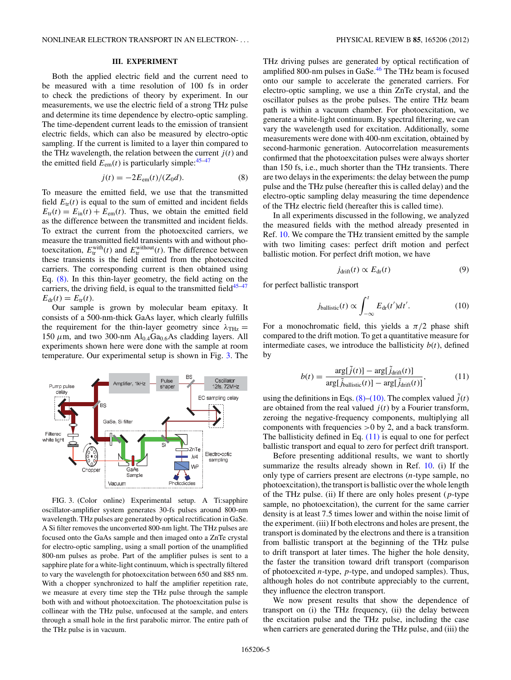### **III. EXPERIMENT**

<span id="page-4-0"></span>Both the applied electric field and the current need to be measured with a time resolution of 100 fs in order to check the predictions of theory by experiment. In our measurements, we use the electric field of a strong THz pulse and determine its time dependence by electro-optic sampling. The time-dependent current leads to the emission of transient electric fields, which can also be measured by electro-optic sampling. If the current is limited to a layer thin compared to the THz wavelength, the relation between the current  $j(t)$  and the emitted field  $E_{em}(t)$  is particularly simple:<sup>45–47</sup>

$$
j(t) = -2E_{\rm em}(t)/(Z_0 d). \tag{8}
$$

To measure the emitted field, we use that the transmitted field  $E_{tr}(t)$  is equal to the sum of emitted and incident fields  $E_{\text{tr}}(t) = E_{\text{in}}(t) + E_{\text{em}}(t)$ . Thus, we obtain the emitted field as the difference between the transmitted and incident fields. To extract the current from the photoexcited carriers, we measure the transmitted field transients with and without photoexcitation,  $E_{tr}^{\text{with}}(t)$  and  $E_{tr}^{\text{without}}(t)$ . The difference between these transients is the field emitted from the photoexcited carriers. The corresponding current is then obtained using Eq. (8). In this thin-layer geometry, the field acting on the carriers, the driving field, is equal to the transmitted field $45-47$  $E_{dr}(t) = E_{tr}(t)$ .

Our sample is grown by molecular beam epitaxy. It consists of a 500-nm-thick GaAs layer, which clearly fulfills the requirement for the thin-layer geometry since  $\lambda_{\text{THz}} =$ 150  $\mu$ m, and two 300-nm  $Al_{0.4}Ga_{0.6}As$  cladding layers. All experiments shown here were done with the sample at room temperature. Our experimental setup is shown in Fig. 3. The



FIG. 3. (Color online) Experimental setup. A Ti:sapphire oscillator-amplifier system generates 30-fs pulses around 800-nm wavelength. THz pulses are generated by optical rectification in GaSe. A Si filter removes the unconverted 800-nm light. The THz pulses are focused onto the GaAs sample and then imaged onto a ZnTe crystal for electro-optic sampling, using a small portion of the unamplified 800-nm pulses as probe. Part of the amplifier pulses is sent to a sapphire plate for a white-light continuum, which is spectrally filtered to vary the wavelength for photoexcitation between 650 and 885 nm. With a chopper synchronized to half the amplifier repetition rate, we measure at every time step the THz pulse through the sample both with and without photoexcitation. The photoexcitation pulse is collinear with the THz pulse, unfocused at the sample, and enters through a small hole in the first parabolic mirror. The entire path of the THz pulse is in vacuum.

THz driving pulses are generated by optical rectification of amplified 800-nm pulses in GaSe. $46$  The THz beam is focused onto our sample to accelerate the generated carriers. For electro-optic sampling, we use a thin ZnTe crystal, and the oscillator pulses as the probe pulses. The entire THz beam path is within a vacuum chamber. For photoexcitation, we generate a white-light continuum. By spectral filtering, we can vary the wavelength used for excitation. Additionally, some measurements were done with 400-nm excitation, obtained by second-harmonic generation. Autocorrelation measurements

confirmed that the photoexcitation pulses were always shorter than 150 fs, i.e., much shorter than the THz transients. There are two delays in the experiments: the delay between the pump pulse and the THz pulse (hereafter this is called delay) and the electro-optic sampling delay measuring the time dependence of the THz electric field (hereafter this is called time).

In all experiments discussed in the following, we analyzed the measured fields with the method already presented in Ref. [10.](#page-8-0) We compare the THz transient emitted by the sample with two limiting cases: perfect drift motion and perfect ballistic motion. For perfect drift motion, we have

$$
j_{\text{drift}}(t) \propto E_{\text{dr}}(t) \tag{9}
$$

for perfect ballistic transport

$$
j_{\text{ballistic}}(t) \propto \int_{-\infty}^{t} E_{\text{dr}}(t')dt'.
$$
 (10)

For a monochromatic field, this yields a  $\pi/2$  phase shift compared to the drift motion. To get a quantitative measure for intermediate cases, we introduce the ballisticity  $b(t)$ , defined by

$$
b(t) = \frac{\arg[\tilde{j}(t)] - \arg[\tilde{j}_{\text{drift}}(t)]}{\arg[\tilde{j}_{\text{ballistic}}(t)] - \arg[\tilde{j}_{\text{drift}}(t)]},
$$
(11)

using the definitions in Eqs. (8)–(10). The complex valued  $\tilde{j}(t)$ are obtained from the real valued  $j(t)$  by a Fourier transform, zeroing the negative-frequency components, multiplying all components with frequencies *>*0 by 2, and a back transform. The ballisticity defined in Eq.  $(11)$  is equal to one for perfect ballistic transport and equal to zero for perfect drift transport.

Before presenting additional results, we want to shortly summarize the results already shown in Ref. [10.](#page-8-0) (i) If the only type of carriers present are electrons (*n*-type sample, no photoexcitation), the transport is ballistic over the whole length of the THz pulse. (ii) If there are only holes present (*p*-type sample, no photoexcitation), the current for the same carrier density is at least 7.5 times lower and within the noise limit of the experiment. (iii) If both electrons and holes are present, the transport is dominated by the electrons and there is a transition from ballistic transport at the beginning of the THz pulse to drift transport at later times. The higher the hole density, the faster the transition toward drift transport (comparison of photoexcited *n*-type, *p*-type, and undoped samples). Thus, although holes do not contribute appreciably to the current, they influence the electron transport.

We now present results that show the dependence of transport on (i) the THz frequency, (ii) the delay between the excitation pulse and the THz pulse, including the case when carriers are generated during the THz pulse, and (iii) the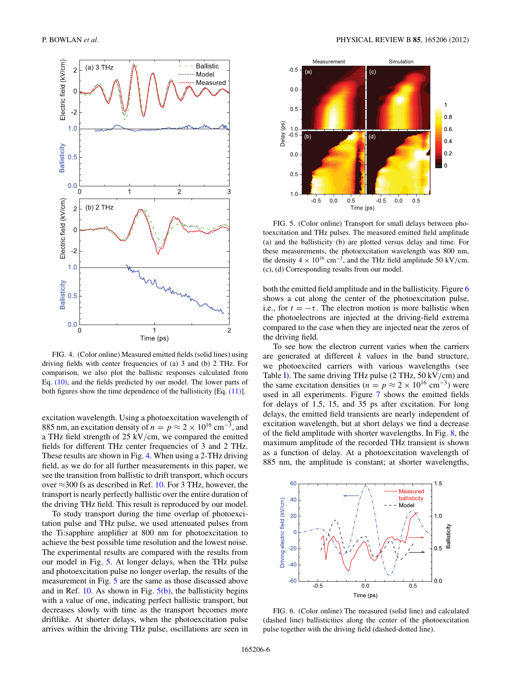<span id="page-5-0"></span>

FIG. 4. (Color online) Measured emitted fields (solid lines) using driving fields with center frequencies of (a) 3 and (b) 2 THz. For comparison, we also plot the ballistic responses calculated from Eq. [\(10\),](#page-4-0) and the fields predicted by our model. The lower parts of both figures show the time dependence of the ballisticity [Eq. [\(11\)\]](#page-4-0).

excitation wavelength. Using a photoexcitation wavelength of 885 nm, an excitation density of  $n = p \approx 2 \times 10^{16}$  cm<sup>-3</sup>, and a THz field strength of 25 kV*/*cm, we compared the emitted fields for different THz center frequencies of 3 and 2 THz. These results are shown in Fig. 4. When using a 2-THz driving field, as we do for all further measurements in this paper, we see the transition from ballistic to drift transport, which occurs over  $\approx$ 300 fs as described in Ref. [10.](#page-8-0) For 3 THz, however, the transport is nearly perfectly ballistic over the entire duration of the driving THz field. This result is reproduced by our model.

To study transport during the time overlap of photoexcitation pulse and THz pulse, we used attenuated pulses from the Ti:sapphire amplifier at 800 nm for photoexcitation to achieve the best possible time resolution and the lowest noise. The experimental results are compared with the results from our model in Fig. 5. At longer delays, when the THz pulse and photoexcitation pulse no longer overlap, the results of the measurement in Fig. 5 are the same as those discussed above and in Ref.  $10$ . As shown in Fig.  $5(b)$ , the ballisticity begins with a value of one, indicating perfect ballistic transport, but decreases slowly with time as the transport becomes more driftlike. At shorter delays, when the photoexcitation pulse arrives within the driving THz pulse, oscillations are seen in



FIG. 5. (Color online) Transport for small delays between photoexcitation and THz pulses. The measured emitted field amplitude (a) and the ballisticity (b) are plotted versus delay and time. For these measurements, the photoexcitation wavelength was 800 nm, the density  $4 \times 10^{16}$  cm<sup>-3</sup>, and the THz field amplitude 50 kV/cm. (c), (d) Corresponding results from our model.

both the emitted field amplitude and in the ballisticity. Figure 6 shows a cut along the center of the photoexcitation pulse, i.e., for  $t = -\tau$ . The electron motion is more ballistic when the photoelectrons are injected at the driving-field extrema compared to the case when they are injected near the zeros of the driving field.

To see how the electron current varies when the carriers are generated at different *k* values in the band structure, we photoexcited carriers with various wavelengths (see Table I). The same driving THz pulse (2 THz, 50 kV*/*cm) and the same excitation densities ( $n = p \approx 2 \times 10^{16}$  cm<sup>-3</sup>) were used in all experiments. Figure [7](#page-6-0) shows the emitted fields for delays of 1.5, 15, and 35 ps after excitation. For long delays, the emitted field transients are nearly independent of excitation wavelength, but at short delays we find a decrease of the field amplitude with shorter wavelengths. In Fig. [8,](#page-7-0) the maximum amplitude of the recorded THz transient is shown as a function of delay. At a photoexcitation wavelength of 885 nm, the amplitude is constant; at shorter wavelengths,



FIG. 6. (Color online) The measured (solid line) and calculated (dashed line) ballisticities along the center of the photoexcitation pulse together with the driving field (dashed-dotted line).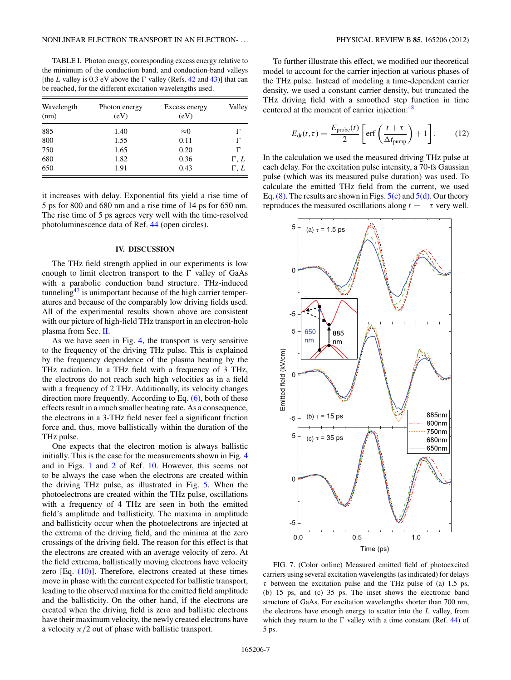<span id="page-6-0"></span>TABLE I. Photon energy, corresponding excess energy relative to the minimum of the conduction band, and conduction-band valleys [the *L* valley is 0.3 eV above the  $\Gamma$  valley (Refs. [42](#page-8-0) and [43\)](#page-8-0)] that can be reached, for the different excitation wavelengths used.

| Wavelength<br>(nm) | Photon energy<br>(eV) | Excess energy<br>(eV) | Valley      |
|--------------------|-----------------------|-----------------------|-------------|
| 885                | 1.40                  | $\approx 0$           |             |
| 800                | 1.55                  | 0.11                  |             |
| 750                | 1.65                  | 0.20                  |             |
| 680                | 1.82                  | 0.36                  | $\Gamma, L$ |
| 650                | 1.91                  | 0.43                  | $\Gamma, L$ |

it increases with delay. Exponential fits yield a rise time of 5 ps for 800 and 680 nm and a rise time of 14 ps for 650 nm. The rise time of 5 ps agrees very well with the time-resolved photoluminescence data of Ref. [44](#page-8-0) (open circles).

#### **IV. DISCUSSION**

The THz field strength applied in our experiments is low enough to limit electron transport to the  $\Gamma$  valley of GaAs with a parabolic conduction band structure. THz-induced tunneling<sup>47</sup> is unimportant because of the high carrier temperatures and because of the comparably low driving fields used. All of the experimental results shown above are consistent with our picture of high-field THz transport in an electron-hole plasma from Sec. [II.](#page-1-0)

As we have seen in Fig. [4,](#page-5-0) the transport is very sensitive to the frequency of the driving THz pulse. This is explained by the frequency dependence of the plasma heating by the THz radiation. In a THz field with a frequency of 3 THz, the electrons do not reach such high velocities as in a field with a frequency of 2 THz. Additionally, its velocity changes direction more frequently. According to Eq.  $(6)$ , both of these effects result in a much smaller heating rate. As a consequence, the electrons in a 3-THz field never feel a significant friction force and, thus, move ballistically within the duration of the THz pulse.

One expects that the electron motion is always ballistic initially. This is the case for the measurements shown in Fig. [4](#page-5-0) and in Figs. [1](#page-2-0) and [2](#page-3-0) of Ref. [10.](#page-8-0) However, this seems not to be always the case when the electrons are created within the driving THz pulse, as illustrated in Fig. [5.](#page-5-0) When the photoelectrons are created within the THz pulse, oscillations with a frequency of 4 THz are seen in both the emitted field's amplitude and ballisticity. The maxima in amplitude and ballisticity occur when the photoelectrons are injected at the extrema of the driving field, and the minima at the zero crossings of the driving field. The reason for this effect is that the electrons are created with an average velocity of zero. At the field extrema, ballistically moving electrons have velocity zero  $[Eq. (10)]$  $[Eq. (10)]$ . Therefore, electrons created at these times move in phase with the current expected for ballistic transport, leading to the observed maxima for the emitted field amplitude and the ballisticity. On the other hand, if the electrons are created when the driving field is zero and ballistic electrons have their maximum velocity, the newly created electrons have a velocity  $\pi/2$  out of phase with ballistic transport.

To further illustrate this effect, we modified our theoretical model to account for the carrier injection at various phases of the THz pulse. Instead of modeling a time-dependent carrier density, we used a constant carrier density, but truncated the THz driving field with a smoothed step function in time centered at the moment of carrier injection:<sup>[48](#page-8-0)</sup>

$$
E_{\rm dr}(t,\tau) = \frac{E_{\rm probe}(t)}{2} \left[ \text{erf}\left(\frac{t+\tau}{\Delta t_{\rm pump}}\right) + 1 \right]. \tag{12}
$$

In the calculation we used the measured driving THz pulse at each delay. For the excitation pulse intensity, a 70-fs Gaussian pulse (which was its measured pulse duration) was used. To calculate the emitted THz field from the current, we used Eq. [\(8\).](#page-4-0) The results are shown in Figs.  $5(c)$  and  $5(d)$ . Our theory reproduces the measured oscillations along  $t = -\tau$  very well.



FIG. 7. (Color online) Measured emitted field of photoexcited carriers using several excitation wavelengths (as indicated) for delays *τ* between the excitation pulse and the THz pulse of (a) 1.5 ps, (b) 15 ps, and (c) 35 ps. The inset shows the electronic band structure of GaAs. For excitation wavelengths shorter than 700 nm, the electrons have enough energy to scatter into the *L* valley, from which they return to the  $\Gamma$  valley with a time constant (Ref. [44\)](#page-8-0) of 5 ps.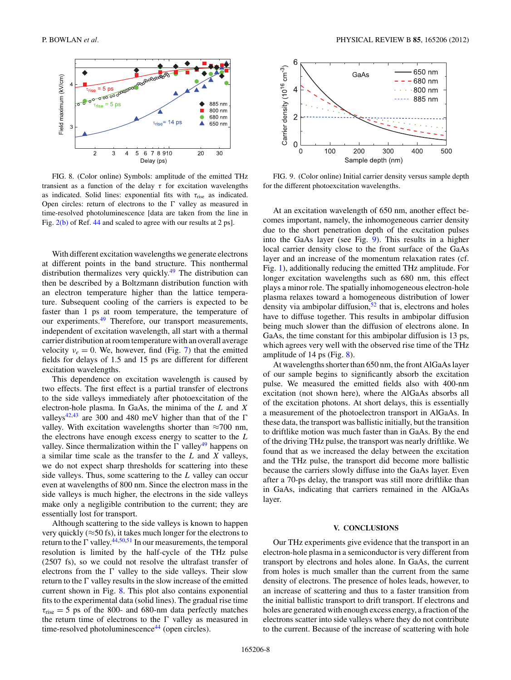<span id="page-7-0"></span>

FIG. 8. (Color online) Symbols: amplitude of the emitted THz transient as a function of the delay *τ* for excitation wavelengths as indicated. Solid lines: exponential fits with  $\tau_{\text{rise}}$  as indicated. Open circles: return of electrons to the  $\Gamma$  valley as measured in time-resolved photoluminescence [data are taken from the line in Fig.  $2(b)$  of Ref. [44](#page-8-0) and scaled to agree with our results at 2 ps].

With different excitation wavelengths we generate electrons at different points in the band structure. This nonthermal distribution thermalizes very quickly.<sup>[49](#page-8-0)</sup> The distribution can then be described by a Boltzmann distribution function with an electron temperature higher than the lattice temperature. Subsequent cooling of the carriers is expected to be faster than 1 ps at room temperature, the temperature of our experiments.<sup>49</sup> Therefore, our transport measurements, independent of excitation wavelength, all start with a thermal carrier distribution at room temperature with an overall average velocity  $v_e = 0$ . We, however, find (Fig. [7\)](#page-6-0) that the emitted fields for delays of 1.5 and 15 ps are different for different excitation wavelengths.

This dependence on excitation wavelength is caused by two effects. The first effect is a partial transfer of electrons to the side valleys immediately after photoexcitation of the electron-hole plasma. In GaAs, the minima of the *L* and *X* valleys<sup>[42,43](#page-8-0)</sup> are 300 and 480 meV higher than that of the  $\Gamma$ valley. With excitation wavelengths shorter than  $\approx 700$  nm, the electrons have enough excess energy to scatter to the *L* valley. Since thermalization within the  $\Gamma$  valley<sup>49</sup> happens on a similar time scale as the transfer to the *L* and *X* valleys, we do not expect sharp thresholds for scattering into these side valleys. Thus, some scattering to the *L* valley can occur even at wavelengths of 800 nm. Since the electron mass in the side valleys is much higher, the electrons in the side valleys make only a negligible contribution to the current; they are essentially lost for transport.

Although scattering to the side valleys is known to happen very quickly ( $\approx$ 50 fs), it takes much longer for the electrons to return to the  $\Gamma$  valley.<sup>[44,50,51](#page-8-0)</sup> In our measurements, the temporal resolution is limited by the half-cycle of the THz pulse (2507 fs), so we could not resolve the ultrafast transfer of electrons from the  $\Gamma$  valley to the side valleys. Their slow return to the  $\Gamma$  valley results in the slow increase of the emitted current shown in Fig. 8. This plot also contains exponential fits to the experimental data (solid lines). The gradual rise time  $\tau_{\text{rise}}$  = 5 ps of the 800- and 680-nm data perfectly matches the return time of electrons to the  $\Gamma$  valley as measured in time-resolved photoluminescence<sup>44</sup> (open circles).



FIG. 9. (Color online) Initial carrier density versus sample depth for the different photoexcitation wavelengths.

At an excitation wavelength of 650 nm, another effect becomes important, namely, the inhomogeneous carrier density due to the short penetration depth of the excitation pulses into the GaAs layer (see Fig. 9). This results in a higher local carrier density close to the front surface of the GaAs layer and an increase of the momentum relaxation rates (cf. Fig. [1\)](#page-2-0), additionally reducing the emitted THz amplitude. For longer excitation wavelengths such as 680 nm, this effect plays a minor role. The spatially inhomogeneous electron-hole plasma relaxes toward a homogeneous distribution of lower density via ambipolar diffusion, $52$  that is, electrons and holes have to diffuse together. This results in ambipolar diffusion being much slower than the diffusion of electrons alone. In GaAs, the time constant for this ambipolar diffusion is 13 ps, which agrees very well with the observed rise time of the THz amplitude of 14 ps (Fig. 8).

At wavelengths shorter than 650 nm, the front AlGaAs layer of our sample begins to significantly absorb the excitation pulse. We measured the emitted fields also with 400-nm excitation (not shown here), where the AlGaAs absorbs all of the excitation photons. At short delays, this is essentially a measurement of the photoelectron transport in AlGaAs. In these data, the transport was ballistic initially, but the transition to driftlike motion was much faster than in GaAs. By the end of the driving THz pulse, the transport was nearly driftlike. We found that as we increased the delay between the excitation and the THz pulse, the transport did become more ballistic because the carriers slowly diffuse into the GaAs layer. Even after a 70-ps delay, the transport was still more driftlike than in GaAs, indicating that carriers remained in the AlGaAs layer.

#### **V. CONCLUSIONS**

Our THz experiments give evidence that the transport in an electron-hole plasma in a semiconductor is very different from transport by electrons and holes alone. In GaAs, the current from holes is much smaller than the current from the same density of electrons. The presence of holes leads, however, to an increase of scattering and thus to a faster transition from the initial ballistic transport to drift transport. If electrons and holes are generated with enough excess energy, a fraction of the electrons scatter into side valleys where they do not contribute to the current. Because of the increase of scattering with hole